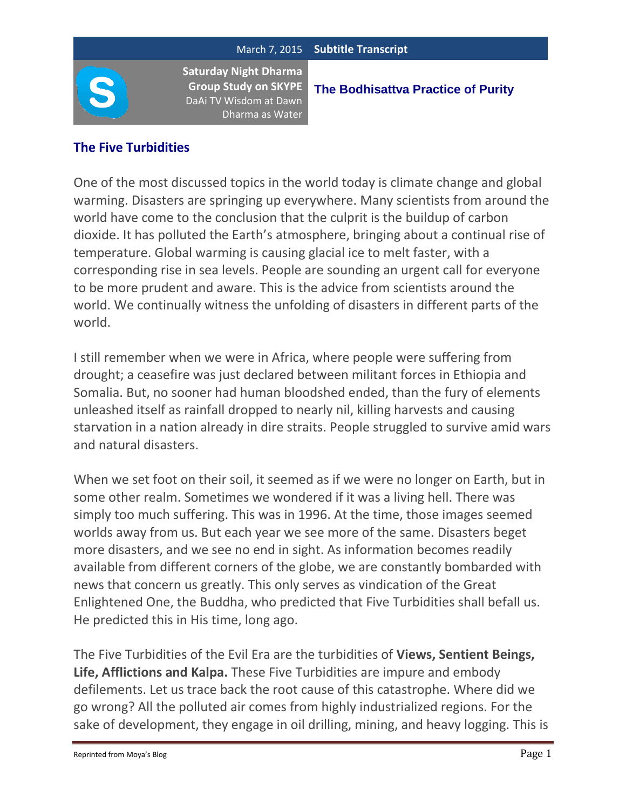**The Bodhisattva Practice of Purity**

## **The Five Turbidities**

One of the most discussed topics in the world today is climate change and global warming. Disasters are springing up everywhere. Many scientists from around the world have come to the conclusion that the culprit is the buildup of carbon dioxide. It has polluted the Earth's atmosphere, bringing about a continual rise of temperature. Global warming is causing glacial ice to melt faster, with a corresponding rise in sea levels. People are sounding an urgent call for everyone to be more prudent and aware. This is the advice from scientists around the world. We continually witness the unfolding of disasters in different parts of the world.

I still remember when we were in Africa, where people were suffering from drought; a ceasefire was just declared between militant forces in Ethiopia and Somalia. But, no sooner had human bloodshed ended, than the fury of elements unleashed itself as rainfall dropped to nearly nil, killing harvests and causing starvation in a nation already in dire straits. People struggled to survive amid wars and natural disasters.

When we set foot on their soil, it seemed as if we were no longer on Earth, but in some other realm. Sometimes we wondered if it was a living hell. There was simply too much suffering. This was in 1996. At the time, those images seemed worlds away from us. But each year we see more of the same. Disasters beget more disasters, and we see no end in sight. As information becomes readily available from different corners of the globe, we are constantly bombarded with news that concern us greatly. This only serves as vindication of the Great Enlightened One, the Buddha, who predicted that Five Turbidities shall befall us. He predicted this in His time, long ago.

The Five Turbidities of the Evil Era are the turbidities of **Views, Sentient Beings, Life, Afflictions and Kalpa.** These Five Turbidities are impure and embody defilements. Let us trace back the root cause of this catastrophe. Where did we go wrong? All the polluted air comes from highly industrialized regions. For the sake of development, they engage in oil drilling, mining, and heavy logging. This is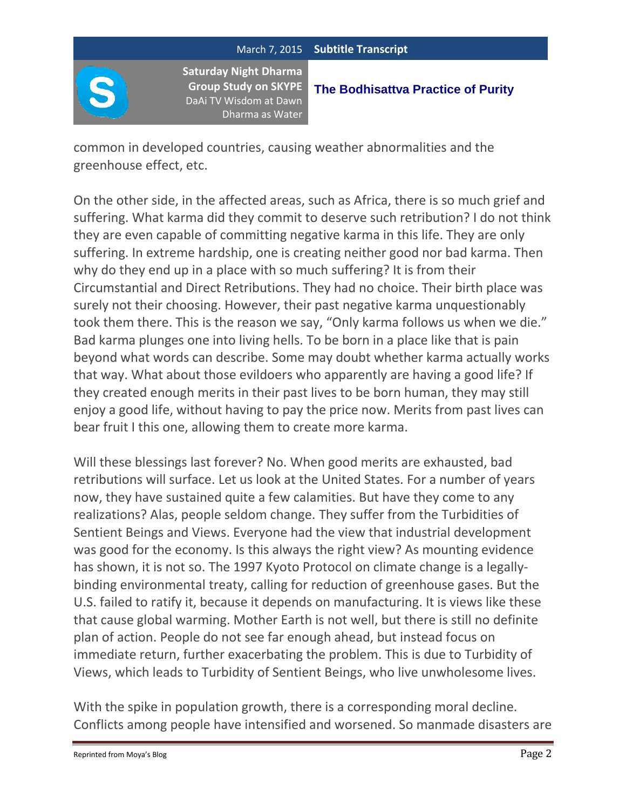

## **The Bodhisattva Practice of Purity**

common in developed countries, causing weather abnormalities and the greenhouse effect, etc.

On the other side, in the affected areas, such as Africa, there is so much grief and suffering. What karma did they commit to deserve such retribution? I do not think they are even capable of committing negative karma in this life. They are only suffering. In extreme hardship, one is creating neither good nor bad karma. Then why do they end up in a place with so much suffering? It is from their Circumstantial and Direct Retributions. They had no choice. Their birth place was surely not their choosing. However, their past negative karma unquestionably took them there. This is the reason we say, "Only karma follows us when we die." Bad karma plunges one into living hells. To be born in a place like that is pain beyond what words can describe. Some may doubt whether karma actually works that way. What about those evildoers who apparently are having a good life? If they created enough merits in their past lives to be born human, they may still enjoy a good life, without having to pay the price now. Merits from past lives can bear fruit I this one, allowing them to create more karma.

Will these blessings last forever? No. When good merits are exhausted, bad retributions will surface. Let us look at the United States. For a number of years now, they have sustained quite a few calamities. But have they come to any realizations? Alas, people seldom change. They suffer from the Turbidities of Sentient Beings and Views. Everyone had the view that industrial development was good for the economy. Is this always the right view? As mounting evidence has shown, it is not so. The 1997 Kyoto Protocol on climate change is a legallybinding environmental treaty, calling for reduction of greenhouse gases. But the U.S. failed to ratify it, because it depends on manufacturing. It is views like these that cause global warming. Mother Earth is not well, but there is still no definite plan of action. People do not see far enough ahead, but instead focus on immediate return, further exacerbating the problem. This is due to Turbidity of Views, which leads to Turbidity of Sentient Beings, who live unwholesome lives.

With the spike in population growth, there is a corresponding moral decline. Conflicts among people have intensified and worsened. So manmade disasters are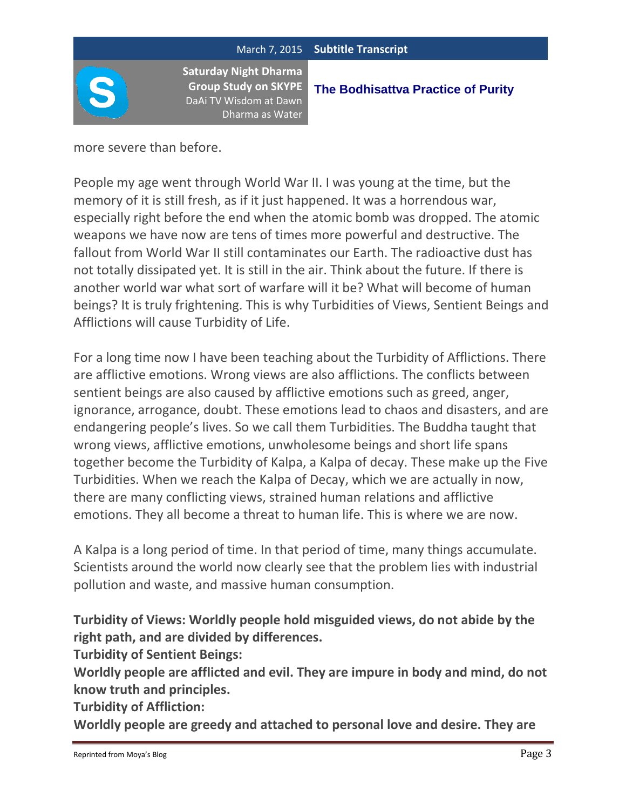

**The Bodhisattva Practice of Purity**

more severe than before.

People my age went through World War II. I was young at the time, but the memory of it is still fresh, as if it just happened. It was a horrendous war, especially right before the end when the atomic bomb was dropped. The atomic weapons we have now are tens of times more powerful and destructive. The fallout from World War II still contaminates our Earth. The radioactive dust has not totally dissipated yet. It is still in the air. Think about the future. If there is another world war what sort of warfare will it be? What will become of human beings? It is truly frightening. This is why Turbidities of Views, Sentient Beings and Afflictions will cause Turbidity of Life.

For a long time now I have been teaching about the Turbidity of Afflictions. There are afflictive emotions. Wrong views are also afflictions. The conflicts between sentient beings are also caused by afflictive emotions such as greed, anger, ignorance, arrogance, doubt. These emotions lead to chaos and disasters, and are endangering people's lives. So we call them Turbidities. The Buddha taught that wrong views, afflictive emotions, unwholesome beings and short life spans together become the Turbidity of Kalpa, a Kalpa of decay. These make up the Five Turbidities. When we reach the Kalpa of Decay, which we are actually in now, there are many conflicting views, strained human relations and afflictive emotions. They all become a threat to human life. This is where we are now.

A Kalpa is a long period of time. In that period of time, many things accumulate. Scientists around the world now clearly see that the problem lies with industrial pollution and waste, and massive human consumption.

**Turbidity of Views: Worldly people hold misguided views, do not abide by the right path, and are divided by differences.**

**Turbidity of Sentient Beings:**

**Worldly people are afflicted and evil. They are impure in body and mind, do not know truth and principles.**

**Turbidity of Affliction:**

**Worldly people are greedy and attached to personal love and desire. They are**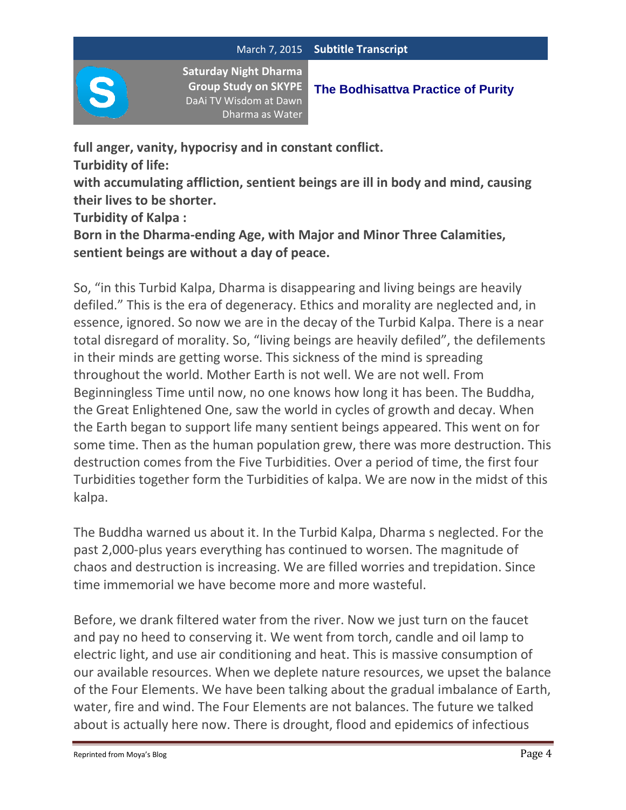

**full anger, vanity, hypocrisy and in constant conflict.**

**Turbidity of life:**

**with accumulating affliction, sentient beings are ill in body and mind, causing their lives to be shorter.**

**Turbidity of Kalpa :**

**Born in the Dharma-ending Age, with Major and Minor Three Calamities, sentient beings are without a day of peace.**

So, "in this Turbid Kalpa, Dharma is disappearing and living beings are heavily defiled." This is the era of degeneracy. Ethics and morality are neglected and, in essence, ignored. So now we are in the decay of the Turbid Kalpa. There is a near total disregard of morality. So, "living beings are heavily defiled", the defilements in their minds are getting worse. This sickness of the mind is spreading throughout the world. Mother Earth is not well. We are not well. From Beginningless Time until now, no one knows how long it has been. The Buddha, the Great Enlightened One, saw the world in cycles of growth and decay. When the Earth began to support life many sentient beings appeared. This went on for some time. Then as the human population grew, there was more destruction. This destruction comes from the Five Turbidities. Over a period of time, the first four Turbidities together form the Turbidities of kalpa. We are now in the midst of this kalpa.

The Buddha warned us about it. In the Turbid Kalpa, Dharma s neglected. For the past 2,000-plus years everything has continued to worsen. The magnitude of chaos and destruction is increasing. We are filled worries and trepidation. Since time immemorial we have become more and more wasteful.

Before, we drank filtered water from the river. Now we just turn on the faucet and pay no heed to conserving it. We went from torch, candle and oil lamp to electric light, and use air conditioning and heat. This is massive consumption of our available resources. When we deplete nature resources, we upset the balance of the Four Elements. We have been talking about the gradual imbalance of Earth, water, fire and wind. The Four Elements are not balances. The future we talked about is actually here now. There is drought, flood and epidemics of infectious